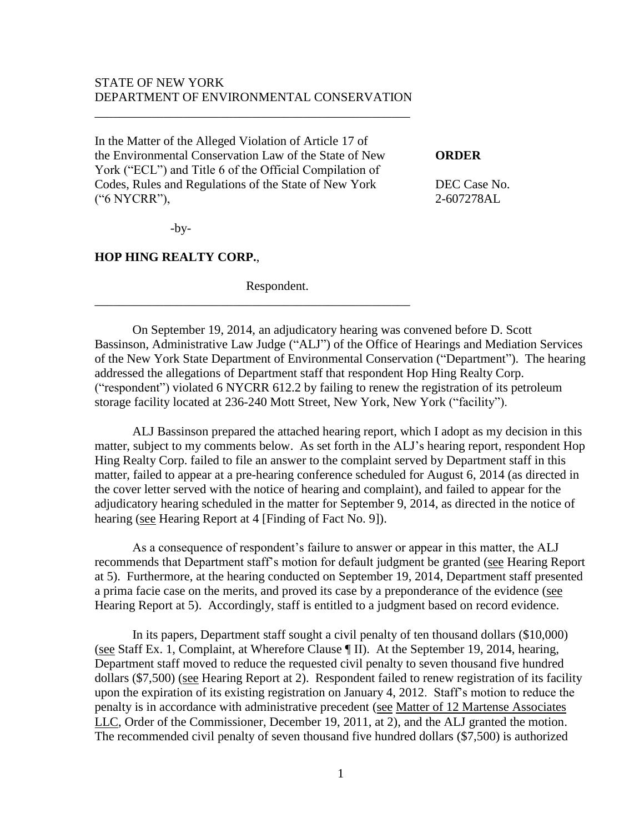# STATE OF NEW YORK DEPARTMENT OF ENVIRONMENTAL CONSERVATION

\_\_\_\_\_\_\_\_\_\_\_\_\_\_\_\_\_\_\_\_\_\_\_\_\_\_\_\_\_\_\_\_\_\_\_\_\_\_\_\_\_\_\_\_\_\_\_\_\_\_

In the Matter of the Alleged Violation of Article 17 of the Environmental Conservation Law of the State of New **ORDER** York ("ECL") and Title 6 of the Official Compilation of Codes, Rules and Regulations of the State of New York DEC Case No. ("6 NYCRR"), 2-607278AL

-by-

#### **HOP HING REALTY CORP.**,

Respondent.

\_\_\_\_\_\_\_\_\_\_\_\_\_\_\_\_\_\_\_\_\_\_\_\_\_\_\_\_\_\_\_\_\_\_\_\_\_\_\_\_\_\_\_\_\_\_\_\_\_\_

On September 19, 2014, an adjudicatory hearing was convened before D. Scott Bassinson, Administrative Law Judge ("ALJ") of the Office of Hearings and Mediation Services of the New York State Department of Environmental Conservation ("Department"). The hearing addressed the allegations of Department staff that respondent Hop Hing Realty Corp. ("respondent") violated 6 NYCRR 612.2 by failing to renew the registration of its petroleum storage facility located at 236-240 Mott Street, New York, New York ("facility").

ALJ Bassinson prepared the attached hearing report, which I adopt as my decision in this matter, subject to my comments below. As set forth in the ALJ's hearing report, respondent Hop Hing Realty Corp. failed to file an answer to the complaint served by Department staff in this matter, failed to appear at a pre-hearing conference scheduled for August 6, 2014 (as directed in the cover letter served with the notice of hearing and complaint), and failed to appear for the adjudicatory hearing scheduled in the matter for September 9, 2014, as directed in the notice of hearing (see Hearing Report at 4 [Finding of Fact No. 9]).

As a consequence of respondent's failure to answer or appear in this matter, the ALJ recommends that Department staff's motion for default judgment be granted (see Hearing Report at 5). Furthermore, at the hearing conducted on September 19, 2014, Department staff presented a prima facie case on the merits, and proved its case by a preponderance of the evidence (see Hearing Report at 5). Accordingly, staff is entitled to a judgment based on record evidence.

In its papers, Department staff sought a civil penalty of ten thousand dollars (\$10,000) (see Staff Ex. 1, Complaint, at Wherefore Clause ¶ II). At the September 19, 2014, hearing, Department staff moved to reduce the requested civil penalty to seven thousand five hundred dollars (\$7,500) (see Hearing Report at 2). Respondent failed to renew registration of its facility upon the expiration of its existing registration on January 4, 2012. Staff's motion to reduce the penalty is in accordance with administrative precedent (see Matter of 12 Martense Associates LLC, Order of the Commissioner, December 19, 2011, at 2), and the ALJ granted the motion. The recommended civil penalty of seven thousand five hundred dollars (\$7,500) is authorized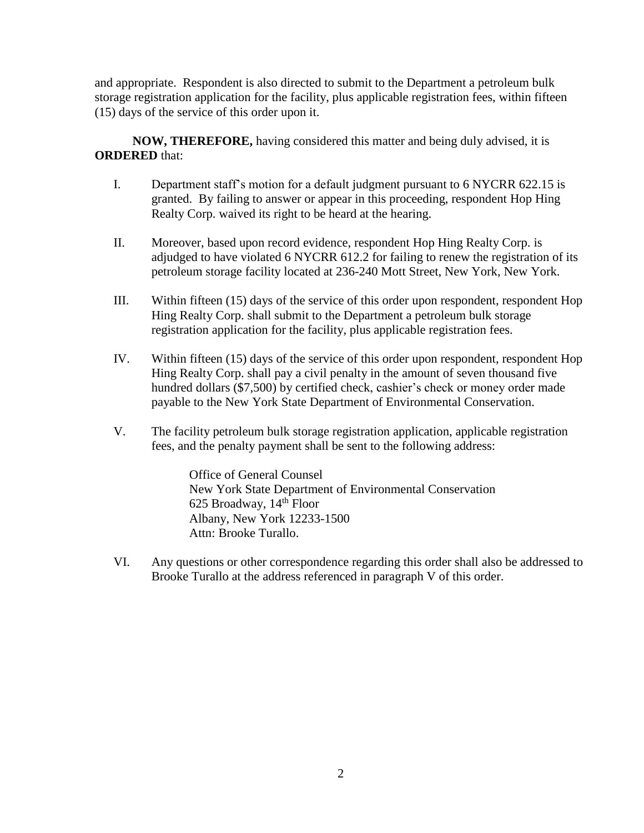and appropriate. Respondent is also directed to submit to the Department a petroleum bulk storage registration application for the facility, plus applicable registration fees, within fifteen (15) days of the service of this order upon it.

**NOW, THEREFORE,** having considered this matter and being duly advised, it is **ORDERED** that:

- I. Department staff's motion for a default judgment pursuant to 6 NYCRR 622.15 is granted. By failing to answer or appear in this proceeding, respondent Hop Hing Realty Corp. waived its right to be heard at the hearing.
- II. Moreover, based upon record evidence, respondent Hop Hing Realty Corp. is adjudged to have violated 6 NYCRR 612.2 for failing to renew the registration of its petroleum storage facility located at 236-240 Mott Street, New York, New York.
- III. Within fifteen (15) days of the service of this order upon respondent, respondent Hop Hing Realty Corp. shall submit to the Department a petroleum bulk storage registration application for the facility, plus applicable registration fees.
- IV. Within fifteen (15) days of the service of this order upon respondent, respondent Hop Hing Realty Corp. shall pay a civil penalty in the amount of seven thousand five hundred dollars (\$7,500) by certified check, cashier's check or money order made payable to the New York State Department of Environmental Conservation.
- V. The facility petroleum bulk storage registration application, applicable registration fees, and the penalty payment shall be sent to the following address:

Office of General Counsel New York State Department of Environmental Conservation 625 Broadway, 14th Floor Albany, New York 12233-1500 Attn: Brooke Turallo.

VI. Any questions or other correspondence regarding this order shall also be addressed to Brooke Turallo at the address referenced in paragraph V of this order.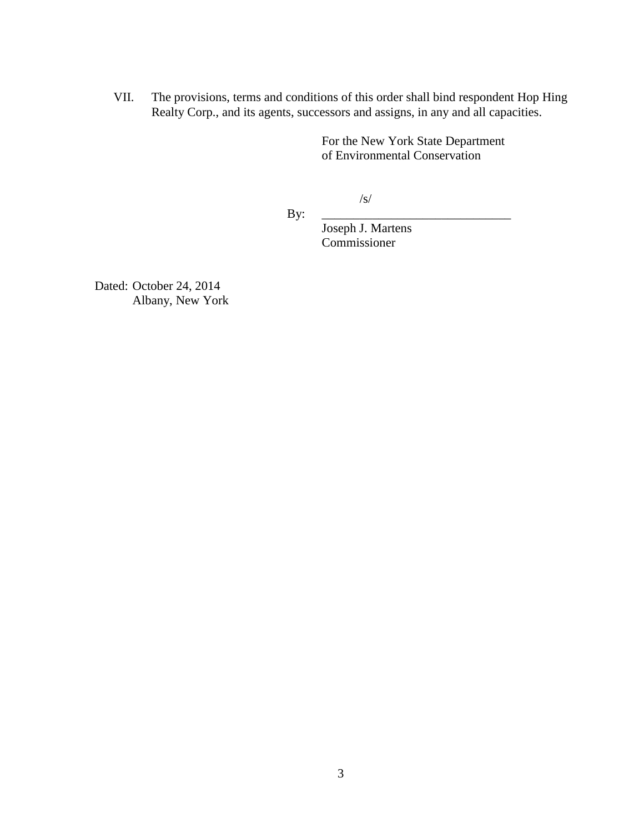VII. The provisions, terms and conditions of this order shall bind respondent Hop Hing Realty Corp., and its agents, successors and assigns, in any and all capacities.

> For the New York State Department of Environmental Conservation

> > $/S/$

By: \_\_\_\_\_\_\_\_\_\_\_\_\_\_\_\_\_\_\_\_\_\_\_\_\_\_\_\_\_\_

Joseph J. Martens Commissioner

Dated: October 24, 2014 Albany, New York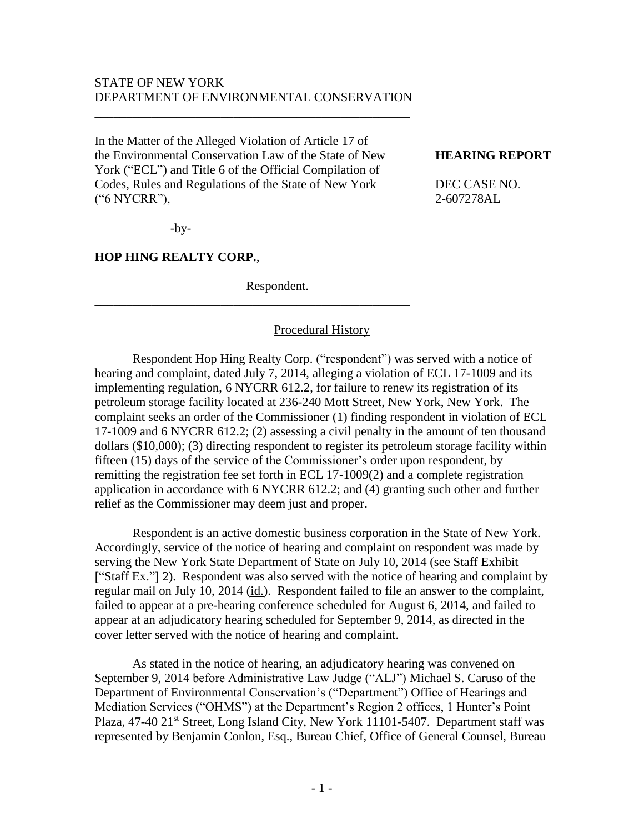# STATE OF NEW YORK DEPARTMENT OF ENVIRONMENTAL CONSERVATION

\_\_\_\_\_\_\_\_\_\_\_\_\_\_\_\_\_\_\_\_\_\_\_\_\_\_\_\_\_\_\_\_\_\_\_\_\_\_\_\_\_\_\_\_\_\_\_\_\_\_

In the Matter of the Alleged Violation of Article 17 of the Environmental Conservation Law of the State of New **HEARING REPORT** York ("ECL") and Title 6 of the Official Compilation of Codes, Rules and Regulations of the State of New York DEC CASE NO. ("6 NYCRR"), 2-607278AL

-by-

#### **HOP HING REALTY CORP.**,

Respondent.

\_\_\_\_\_\_\_\_\_\_\_\_\_\_\_\_\_\_\_\_\_\_\_\_\_\_\_\_\_\_\_\_\_\_\_\_\_\_\_\_\_\_\_\_\_\_\_\_\_\_

#### Procedural History

Respondent Hop Hing Realty Corp. ("respondent") was served with a notice of hearing and complaint, dated July 7, 2014, alleging a violation of ECL 17-1009 and its implementing regulation, 6 NYCRR 612.2, for failure to renew its registration of its petroleum storage facility located at 236-240 Mott Street, New York, New York. The complaint seeks an order of the Commissioner (1) finding respondent in violation of ECL 17-1009 and 6 NYCRR 612.2; (2) assessing a civil penalty in the amount of ten thousand dollars (\$10,000); (3) directing respondent to register its petroleum storage facility within fifteen (15) days of the service of the Commissioner's order upon respondent, by remitting the registration fee set forth in ECL 17-1009(2) and a complete registration application in accordance with 6 NYCRR 612.2; and (4) granting such other and further relief as the Commissioner may deem just and proper.

Respondent is an active domestic business corporation in the State of New York. Accordingly, service of the notice of hearing and complaint on respondent was made by serving the New York State Department of State on July 10, 2014 (see Staff Exhibit ["Staff Ex."] 2). Respondent was also served with the notice of hearing and complaint by regular mail on July 10, 2014 (id.). Respondent failed to file an answer to the complaint, failed to appear at a pre-hearing conference scheduled for August 6, 2014, and failed to appear at an adjudicatory hearing scheduled for September 9, 2014, as directed in the cover letter served with the notice of hearing and complaint.

As stated in the notice of hearing, an adjudicatory hearing was convened on September 9, 2014 before Administrative Law Judge ("ALJ") Michael S. Caruso of the Department of Environmental Conservation's ("Department") Office of Hearings and Mediation Services ("OHMS") at the Department's Region 2 offices, 1 Hunter's Point Plaza, 47-40 21<sup>st</sup> Street, Long Island City, New York 11101-5407. Department staff was represented by Benjamin Conlon, Esq., Bureau Chief, Office of General Counsel, Bureau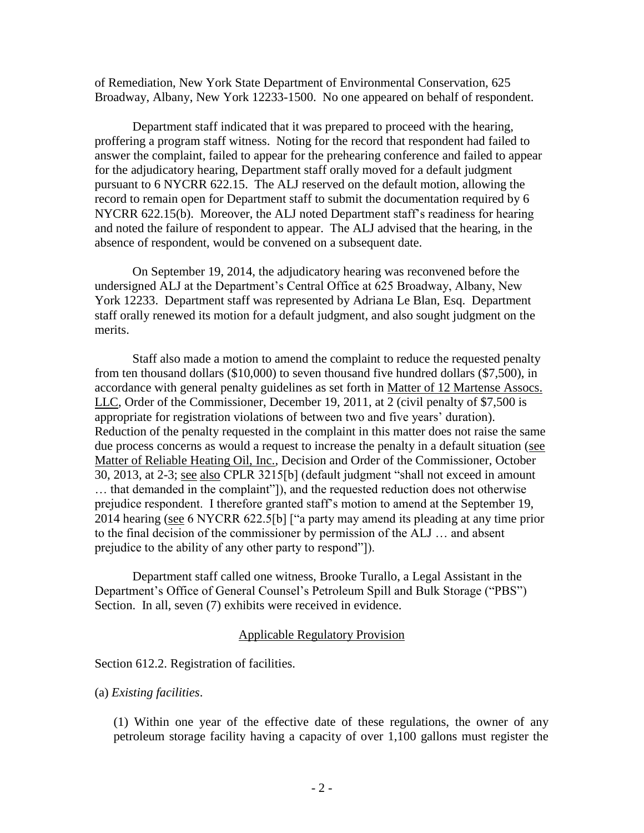of Remediation, New York State Department of Environmental Conservation, 625 Broadway, Albany, New York 12233-1500. No one appeared on behalf of respondent.

Department staff indicated that it was prepared to proceed with the hearing, proffering a program staff witness. Noting for the record that respondent had failed to answer the complaint, failed to appear for the prehearing conference and failed to appear for the adjudicatory hearing, Department staff orally moved for a default judgment pursuant to 6 NYCRR 622.15. The ALJ reserved on the default motion, allowing the record to remain open for Department staff to submit the documentation required by 6 NYCRR 622.15(b). Moreover, the ALJ noted Department staff's readiness for hearing and noted the failure of respondent to appear. The ALJ advised that the hearing, in the absence of respondent, would be convened on a subsequent date.

On September 19, 2014, the adjudicatory hearing was reconvened before the undersigned ALJ at the Department's Central Office at 625 Broadway, Albany, New York 12233. Department staff was represented by Adriana Le Blan, Esq. Department staff orally renewed its motion for a default judgment, and also sought judgment on the merits.

Staff also made a motion to amend the complaint to reduce the requested penalty from ten thousand dollars (\$10,000) to seven thousand five hundred dollars (\$7,500), in accordance with general penalty guidelines as set forth in Matter of 12 Martense Assocs. LLC, Order of the Commissioner, December 19, 2011, at 2 (civil penalty of \$7,500 is appropriate for registration violations of between two and five years' duration). Reduction of the penalty requested in the complaint in this matter does not raise the same due process concerns as would a request to increase the penalty in a default situation (see Matter of Reliable Heating Oil, Inc., Decision and Order of the Commissioner, October 30, 2013, at 2-3; see also CPLR 3215[b] (default judgment "shall not exceed in amount … that demanded in the complaint"]), and the requested reduction does not otherwise prejudice respondent. I therefore granted staff's motion to amend at the September 19, 2014 hearing (see 6 NYCRR 622.5[b] ["a party may amend its pleading at any time prior to the final decision of the commissioner by permission of the ALJ … and absent prejudice to the ability of any other party to respond"]).

Department staff called one witness, Brooke Turallo, a Legal Assistant in the Department's Office of General Counsel's Petroleum Spill and Bulk Storage ("PBS") Section. In all, seven (7) exhibits were received in evidence.

## Applicable Regulatory Provision

## Section 612.2. Registration of facilities.

## (a) *Existing facilities*.

(1) Within one year of the effective date of these regulations, the owner of any petroleum storage facility having a capacity of over 1,100 gallons must register the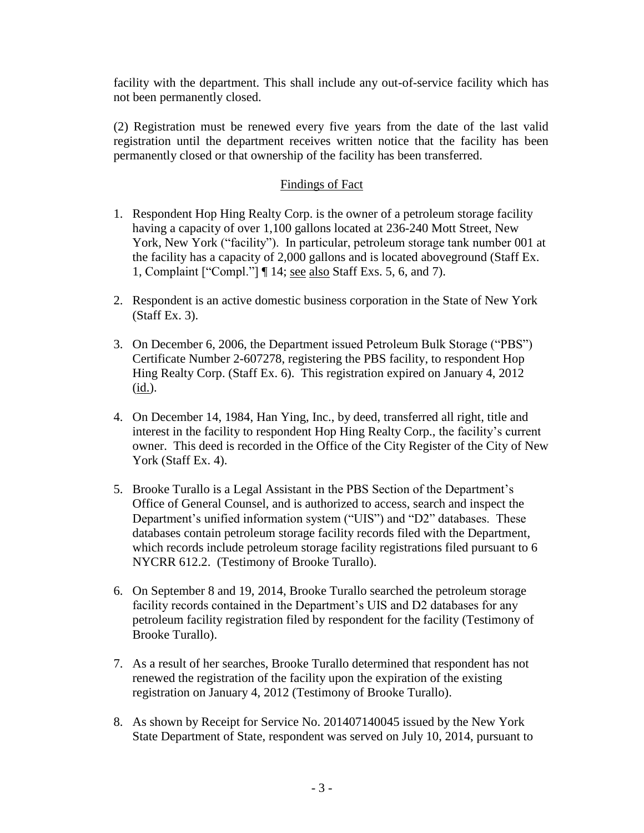facility with the department. This shall include any out-of-service facility which has not been permanently closed.

(2) Registration must be renewed every five years from the date of the last valid registration until the department receives written notice that the facility has been permanently closed or that ownership of the facility has been transferred.

# Findings of Fact

- 1. Respondent Hop Hing Realty Corp. is the owner of a petroleum storage facility having a capacity of over 1,100 gallons located at 236-240 Mott Street, New York, New York ("facility"). In particular, petroleum storage tank number 001 at the facility has a capacity of 2,000 gallons and is located aboveground (Staff Ex. 1, Complaint ["Compl."] ¶ 14; see also Staff Exs. 5, 6, and 7).
- 2. Respondent is an active domestic business corporation in the State of New York (Staff Ex. 3).
- 3. On December 6, 2006, the Department issued Petroleum Bulk Storage ("PBS") Certificate Number 2-607278, registering the PBS facility, to respondent Hop Hing Realty Corp. (Staff Ex. 6). This registration expired on January 4, 2012 (id.).
- 4. On December 14, 1984, Han Ying, Inc., by deed, transferred all right, title and interest in the facility to respondent Hop Hing Realty Corp., the facility's current owner. This deed is recorded in the Office of the City Register of the City of New York (Staff Ex. 4).
- 5. Brooke Turallo is a Legal Assistant in the PBS Section of the Department's Office of General Counsel, and is authorized to access, search and inspect the Department's unified information system ("UIS") and "D2" databases. These databases contain petroleum storage facility records filed with the Department, which records include petroleum storage facility registrations filed pursuant to 6 NYCRR 612.2. (Testimony of Brooke Turallo).
- 6. On September 8 and 19, 2014, Brooke Turallo searched the petroleum storage facility records contained in the Department's UIS and D2 databases for any petroleum facility registration filed by respondent for the facility (Testimony of Brooke Turallo).
- 7. As a result of her searches, Brooke Turallo determined that respondent has not renewed the registration of the facility upon the expiration of the existing registration on January 4, 2012 (Testimony of Brooke Turallo).
- 8. As shown by Receipt for Service No. 201407140045 issued by the New York State Department of State, respondent was served on July 10, 2014, pursuant to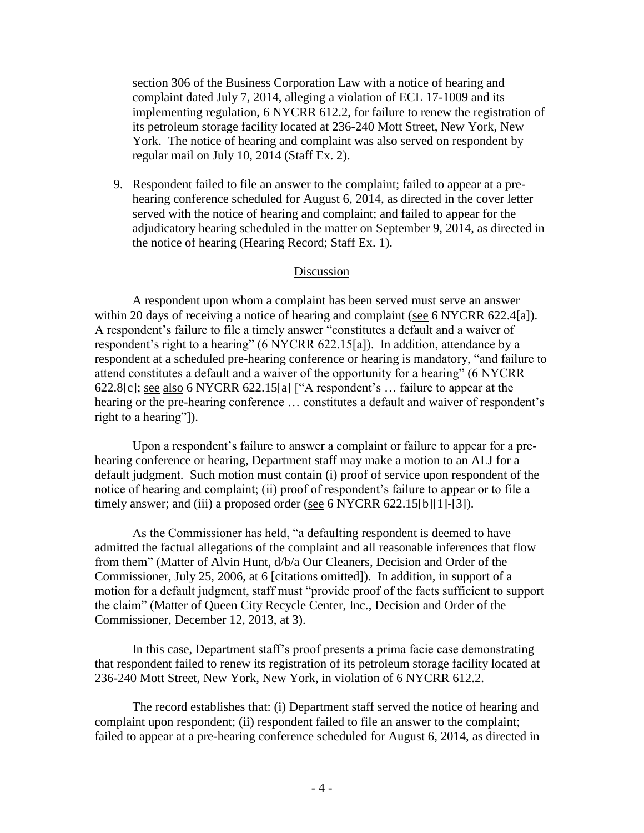section 306 of the Business Corporation Law with a notice of hearing and complaint dated July 7, 2014, alleging a violation of ECL 17-1009 and its implementing regulation, 6 NYCRR 612.2, for failure to renew the registration of its petroleum storage facility located at 236-240 Mott Street, New York, New York. The notice of hearing and complaint was also served on respondent by regular mail on July 10, 2014 (Staff Ex. 2).

9. Respondent failed to file an answer to the complaint; failed to appear at a prehearing conference scheduled for August 6, 2014, as directed in the cover letter served with the notice of hearing and complaint; and failed to appear for the adjudicatory hearing scheduled in the matter on September 9, 2014, as directed in the notice of hearing (Hearing Record; Staff Ex. 1).

#### Discussion

A respondent upon whom a complaint has been served must serve an answer within 20 days of receiving a notice of hearing and complaint (see 6 NYCRR 622.4[a]). A respondent's failure to file a timely answer "constitutes a default and a waiver of respondent's right to a hearing" (6 NYCRR 622.15[a]). In addition, attendance by a respondent at a scheduled pre-hearing conference or hearing is mandatory, "and failure to attend constitutes a default and a waiver of the opportunity for a hearing" (6 NYCRR 622.8[c]; see also 6 NYCRR 622.15[a] ["A respondent's … failure to appear at the hearing or the pre-hearing conference … constitutes a default and waiver of respondent's right to a hearing"]).

Upon a respondent's failure to answer a complaint or failure to appear for a prehearing conference or hearing, Department staff may make a motion to an ALJ for a default judgment. Such motion must contain (i) proof of service upon respondent of the notice of hearing and complaint; (ii) proof of respondent's failure to appear or to file a timely answer; and (iii) a proposed order (see 6 NYCRR 622.15[b][1]-[3]).

As the Commissioner has held, "a defaulting respondent is deemed to have admitted the factual allegations of the complaint and all reasonable inferences that flow from them" (Matter of Alvin Hunt, d/b/a Our Cleaners, Decision and Order of the Commissioner, July 25, 2006, at 6 [citations omitted]). In addition, in support of a motion for a default judgment, staff must "provide proof of the facts sufficient to support the claim" (Matter of Queen City Recycle Center, Inc., Decision and Order of the Commissioner, December 12, 2013, at 3).

In this case, Department staff's proof presents a prima facie case demonstrating that respondent failed to renew its registration of its petroleum storage facility located at 236-240 Mott Street, New York, New York, in violation of 6 NYCRR 612.2.

The record establishes that: (i) Department staff served the notice of hearing and complaint upon respondent; (ii) respondent failed to file an answer to the complaint; failed to appear at a pre-hearing conference scheduled for August 6, 2014, as directed in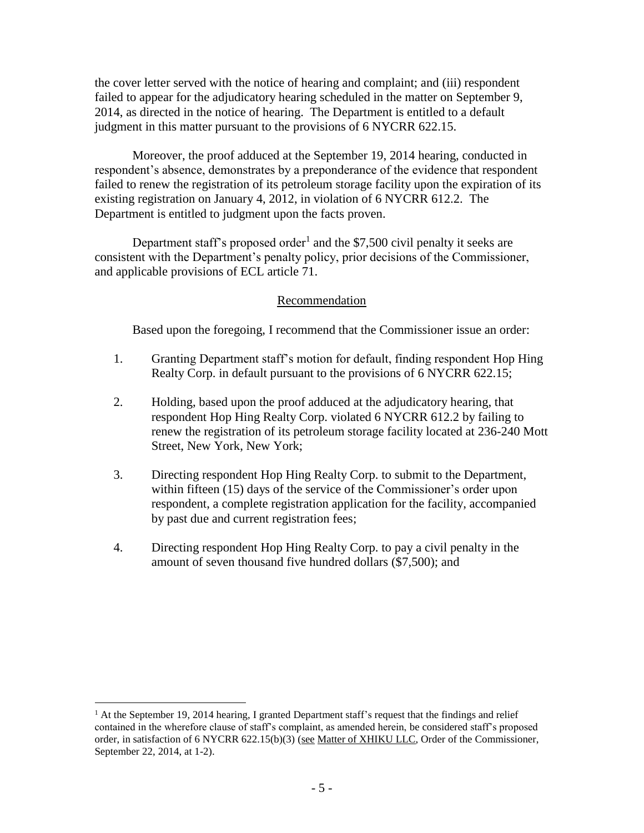the cover letter served with the notice of hearing and complaint; and (iii) respondent failed to appear for the adjudicatory hearing scheduled in the matter on September 9, 2014, as directed in the notice of hearing. The Department is entitled to a default judgment in this matter pursuant to the provisions of 6 NYCRR 622.15.

Moreover, the proof adduced at the September 19, 2014 hearing, conducted in respondent's absence, demonstrates by a preponderance of the evidence that respondent failed to renew the registration of its petroleum storage facility upon the expiration of its existing registration on January 4, 2012, in violation of 6 NYCRR 612.2. The Department is entitled to judgment upon the facts proven.

Department staff's proposed order<sup>1</sup> and the \$7,500 civil penalty it seeks are consistent with the Department's penalty policy, prior decisions of the Commissioner, and applicable provisions of ECL article 71.

# Recommendation

Based upon the foregoing, I recommend that the Commissioner issue an order:

- 1. Granting Department staff's motion for default, finding respondent Hop Hing Realty Corp. in default pursuant to the provisions of 6 NYCRR 622.15;
- 2. Holding, based upon the proof adduced at the adjudicatory hearing, that respondent Hop Hing Realty Corp. violated 6 NYCRR 612.2 by failing to renew the registration of its petroleum storage facility located at 236-240 Mott Street, New York, New York;
- 3. Directing respondent Hop Hing Realty Corp. to submit to the Department, within fifteen (15) days of the service of the Commissioner's order upon respondent, a complete registration application for the facility, accompanied by past due and current registration fees;
- 4. Directing respondent Hop Hing Realty Corp. to pay a civil penalty in the amount of seven thousand five hundred dollars (\$7,500); and

 $\overline{a}$ 

 $<sup>1</sup>$  At the September 19, 2014 hearing, I granted Department staff's request that the findings and relief</sup> contained in the wherefore clause of staff's complaint, as amended herein, be considered staff's proposed order, in satisfaction of 6 NYCRR 622.15(b)(3) (see Matter of XHIKU LLC, Order of the Commissioner, September 22, 2014, at 1-2).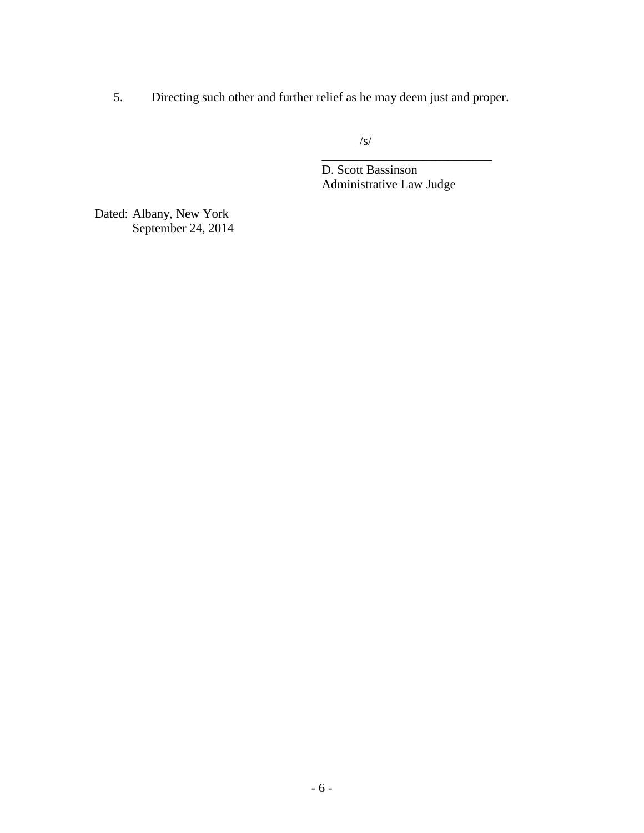5. Directing such other and further relief as he may deem just and proper.

/s/

D. Scott Bassinson Administrative Law Judge

\_\_\_\_\_\_\_\_\_\_\_\_\_\_\_\_\_\_\_\_\_\_\_\_\_\_\_

Dated: Albany, New York September 24, 2014